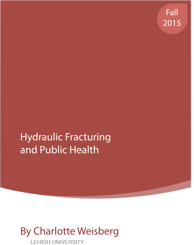Fall 2015

# **Hydraulic Fracturing** and Public Health

## ByCharlotteWeisberg**LEHIGH UNIVERSITY**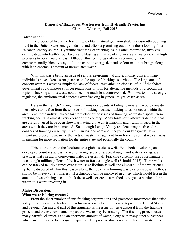## **Disposal of Hazardous Wastewater from Hydraulic Fracturing**

Charlotte Weisberg. Fall 2015

#### **Introduction:**

The process of hydraulic fracturing to obtain natural gas from shale is a currently booming field in the United States energy industry and offers a promising outlook to those looking for a "cleaner" energy source. Hydraulic fracturing or fracking, as it is often referred to, involves drilling deep into Earth's rock layers and blasting a mixture of chemicals and water down at high pressures to obtain natural gas. Although this technology offers a seemingly more environmentally friendly way to fill the extreme energy demands of our nation, it brings along with it an enormous amount of unregulated waste.

With this waste being an issue of serious environmental and economic concern, many individuals have taken a strong stance on the topic of fracking as a whole. The large area of concern over this waste is simply the lack of federal regulation on disposal of it. If the federal government could impose stronger regulations or look for alternative methods of disposal, the topic of fracking and its waste could become much less controversial. With waste more strongly regulated, the environmental concerns over fracking in general might lessen as well.

Here in the Lehigh Valley, many citizens or students at Lehigh University would consider themselves to be free from these issues of fracking because fracking does not occur within the area. Yet, these individuals are far from clear of the issues of fracking, as waste disposal from fracking occurs in almost every corner of the country. Many forms of wastewater disposal that are currently used have been shown as having grave environmental and health impacts in the areas which they are implemented. So although Lehigh Valley residents may be free of the dangers of fracking currently, it is still an issue to care about beyond our backyards. It is important to become aware of the facts of waste management from fracking so that we can assist in pushing for more regulation for the entire state and potentially the country.

This issue comes to the forefront on a global scale as well. With both developing and developed countries across the world facing issues of severe drought and water shortages, any practices that can aid in conserving water are essential. Fracking currently uses approximately two to eight million gallons of fresh water to frack a single well (Schmidt 2013). These wells can be fracked multiple times over their usage lifetime as well and almost all of the water ends up being disposed of. For this reason alone, the topic of reforming wastewater disposal methods should be in everyone's interest. If technology can be improved in a way which would lessen the amount of water being used to frack these wells, or create a method to recycle a portion of the water, it is worth investing in.

#### **Major Discussion:**

#### **What waste is being created?**

From the sheer number of anti-fracking organizations and grassroots movements that exist today, it is evident that hydraulic fracturing is a widely controversial topic in the United States and beyond. An integral part of this argument is the issue of waste disposal from the fracking process and the environmental impact that waste may be creating. The fracking process uses many harmful chemicals and an enormous amount of water, along with many other substances which are unrevealed by energy companies. The process alone creates both solid waste, which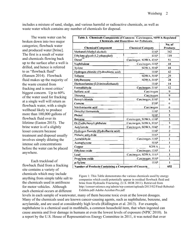includes a mixture of sand, sludge, and various harmful or radioactive chemicals, as well as waste water which contains any number of chemicals for disposal.

The waste water can be broken down into two major categories; flowback water and produced water [brine]. The first is a result of water and chemicals flowing back up to the surface after a well is drilled, and hence is referred to as "flowback fluid" (Hansen 2014). Flowback fluid makes up the majority of the waste created from fracking and is most critics' biggest concern. Up to 60% of the water used for fracking at a single well will return as flowback water, with a single wellhead likely to produce more than 100,000 gallons of flowback fluid over its lifetime (Easton 2015). The brine water is of a slightly lesser concern because treatment and disposal usually involves simply diluting the intense salt concentrations before the water can be placed anywhere.

Each truckload of flowback fluid from a fracking site contains a variety of chemicals which may include anything from simple table salt to the chemicals used in antifreeze for motor vehicles. Although each chemical occurs at different

| Table 3. Chemicals Components of Concern: Carcinogens, SDWA-Regulated<br>Chemicals, and Hazardous Air Pollutants |                          |                    |
|------------------------------------------------------------------------------------------------------------------|--------------------------|--------------------|
| <b>Chemical Component</b>                                                                                        | <b>Chemical Category</b> | Na. of<br>Products |
| Methanol (Methyl alcohol)                                                                                        | HAP                      | 342                |
| Ethylene glycol (1,2-ethanediol)                                                                                 | HAP                      | 119                |
| Diesei <sup>19</sup>                                                                                             | Carcinogen, SDWA, HAP    | 51                 |
| Naphthalene                                                                                                      | Carcinogen, HAP          | 44                 |
| Xylene                                                                                                           | SDWA, HAP                | 44                 |
| Hydrogen chloride (Hydrochloric acid)                                                                            | HAP                      | 42                 |
| Toluene                                                                                                          | SDWA, HAP                | 29                 |
| Ethylbenzene                                                                                                     | SDWA, HAP                | 28                 |
| Diethanolamine (2,2-iminodiethanol)                                                                              | HAP                      | 14                 |
| Formaldehyde                                                                                                     | Carcinogen, HAP          | 12                 |
| Sulfuric acid                                                                                                    | Carcinogen               | 9                  |
| Thiourca                                                                                                         | Carcinogen               | 9                  |
| Benzyl chloride                                                                                                  | Carcinogen, HAP          | Ŝ                  |
| Cumene                                                                                                           | НАР                      | 6                  |
| Nitrilotriacetic acid                                                                                            | Carcinogen               | 6                  |
| Dimethyl formamide                                                                                               | HAP                      | 5                  |
| Phenol                                                                                                           | HAP                      | 5                  |
| Benzene                                                                                                          | Carcinogen, SDWA, HAP    | 3                  |
| Di (2-ethylhexyl) phthalate                                                                                      | Carcinogen, SDWA, HAP    | 3                  |
| Acrylamide                                                                                                       | Carcinogen, SDWA, HAP    | 2                  |
| Hydrogen fluoride (Hydrofluorie acid)                                                                            | НАР                      | 2                  |
| Phthalic anhydride                                                                                               | HAP                      | ż                  |
| Acctaldehyde                                                                                                     | Carcinogen, HAP          | ı                  |
| Acetophenone                                                                                                     | HAP                      | ı                  |
| Copper                                                                                                           | SDWA                     | ı                  |
| Ethylene oxide                                                                                                   | Carcinogen, UAP          | ı                  |
| Lead                                                                                                             | Carcinogen, SDWA, HAP    | ١                  |
| Propylene oxide                                                                                                  | Carcinogen, HAP          | ı                  |
| p-Xylene                                                                                                         | HAP                      | ı                  |
| Number of Products Containing a Component of Concern                                                             |                          | 652                |

Figure 1: This Table demonstrates the various chemicals used by energy companies which could potentially appear in residual flowback fluid and brine from Hydraulic Fracturing. (U.S. HOR 2011). Retrieved from http://conservationco.org/admin/wp-content/uploads/2013/02/Final-Rebuttal-Exhibits.pdf-Adobe-Acrobat-Pro.pdf

levels in each sample of wastewater, many of them become toxic even at the lowest dosages. Many of the chemicals used are known cancer-causing agents, such as naphthalene, benzene, and acrylamide, and are used at considerably high levels (Ridlington et al. 2013). For example, naphthalene is a chemical used in mothballs, a common household item, that when ingested can cause anemia and liver damage in humans at even the lowest levels of exposure (NPIC 2010). In a report by the U.S. House of Representatives Energy Committee in 2011, it was noted that over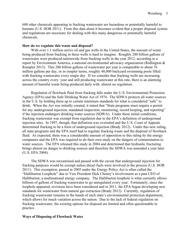600 other chemicals appearing in fracking wastewater are hazardous or potentially harmful to humans (U.S. HOR 2011). From this data alone it becomes evident that a proper disposal system and regulations are necessary for dealing with this many dangerous or potentially harmful chemicals.

#### **How do we regulate this waste and disposal?**

With over 1.1 million active oil and gas wells in the United States, the amount of waste being produced from fracking in these wells is hard to imagine. Roughly 280 billion gallons of wastewater were produced nationwide from fracking wells in the year 2012, according to a report by Environment America, a national environmental advocacy organization (Ridlington & Rumpler 2013). This 280 billion gallons of wastewater per year is comparable to about 76 million gallons per day, or in simpler terms, roughly 40,000 backyard swimming pools filled with fracking wastewater every single day. If we consider that fracking wells are increasing across the country every year and still producing wastewater at this rate, there is an alarming amount of harmful waste being produced daily with almost no regulation.

Regulation of flowback fluid from fracking falls under the U.S. Environmental Protection Agency (EPA) and the Safe Drinking Water Act of 1974. The SDWA protects all water sources in the U.S. by holding them up to certain minimum standards for what is considered "safe" to drink. When the Act was initially created, it stated that "State programs must require a permit for any underground injection, mandated inspection, monitoring, record keeping, and reporting" if the injection endangers drinking water sources (SDWA). Under these initial conditions, fracking wastewater was exempt from regulation due to the EPA's definition of underground injection sites. In 1997, though, that definition was overruled and the U.S. Court of Appeals determined fracking to be a form of underground injection (Brady 2012). Under this new ruling, all state programs and the EPA itself had to regulate fracking waste and the disposal of flowback fluid. As expected, there was a considerable amount of opposition to this ruling by the energy companies and the EPA was required to do their own study on the dangers of contamination to water sources. The EPA released this study in 2004 and determined that hydraulic fracturing brings almost no danger to drinking sources and therefore the SDWA was amended a year later (U.S. EPA 2004).

The SDWA was reexamined and passed with the caveat that underground injection for fracking purposes would be exempt unless diesel fuels were involved in the process (U.S. HOR 2011). This exemption, passed in 2005 under the Energy Policy Act is often called the "Halliburton Loophole" due to Vice President Dick Cheney's involvement as a past CEO of Halliburton; a multinational energy company. The Halliburton loophole is what currently allows billions of gallons of fracking wastewater to go unregulated every year. Fortunately, since the loophole appeared, revisions have been considered and in 2011, the EPA began developing new standards for wastewater from natural gas extraction (Brady 2012). Currently, regulation of fracking wastewater remains in the hands of each state's environmental protection department, which allows for much variation across the nation. Due to the lack of federal regulation on fracking wastewater, the existing options for disposal are limited and often questionable in practice.

#### **Ways of Disposing of Flowback Water**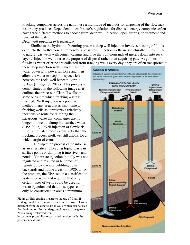Fracking companies across the nation use a multitude of methods for disposing of the flowback water they produce. Dependent on each state's regulations for disposal, energy companies often have three different methods to choose from; deep well injection, open air pits, or treatment and reuse of the water.

#### *Deep Well Injection of Wastewater*

Similar to the hydraulic fracturing process, deep well injection involves blasting of fluids deep into the earth's core at tremendous pressures. Injection wells are structurally quite similar to natural gas wells with cement casings and pipe that run thousands of meters down into rock layers. Injection wells serve the purpose of disposal rather than acquiring gas. As gallons of flowback water or brine are collected from fracking wells every day, they are often transported to

**4.000 ft** 

these deep injection wells which blast the water down with powerful force and then allow the water to seep into spaces left between the rock, well beneath Earth's surface (Lustgarten 2012). This process is demonstrated in the following image as it outlines the process in Class II wells; the same ones into which fracking waste is injected. Well injection is a popular method in any area that is also home to fracking wells as it presents a relatively inexpensive route for dumping the hazardous waste that companies are no longer allowed to dump into surface water (EPA 2012). Well injection of flowback fluid is regulated more extensively than the fracking process itself, yet still allows for a wide margin of error.

The injection process came into use as an alternative to keeping liquid waste in surface ponds or dumping it into rivers and ponds. Yet waste injection initially was not regulated and resulted in hundreds of reports of toxic waste bubbling up in backyards and public areas. In 1980, to fix the problem, the EPA set up a classification system for wells and required that only certain types of wells could be used for waste injection and that those types could only be constructed in areas a minimum

Figure 2: This graphic illustrates the use of Class II Underground Injection Wells for brine disposal. This is different from the other class II wells which can be used for obtaining oil from underground layers. (Lustgarten 2012). Image retrieved from

http://www.propublica.org/article/injection-wells-thepoison-beneath-us

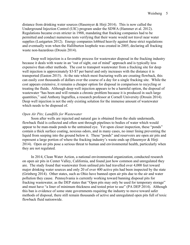distance from drinking water sources (Hasemyer  $\&$  Hirji 2014). This is now called the Underground Injection Control (UIC) program under the SDWA (Hammer et al. 2012). Regulations became even stricter in 1988, mandating that fracking companies had to be permitted and conduct numerous tests verifying that their waste would not travel near water supplies (Lustgarten 2012). Energy companies lobbied heavily against these strict regulations and eventually won when the Halliburton loophole was created in 2005, declaring all fracking waste non-hazardous (Drouin 2014).

Deep well injection is a favorable process for wastewater disposal in the fracking industry because it deals with waste in an "out of sight, out of mind" approach and is typically less expensive than other methods. The cost to transport wastewater from a fracking site for deep well injection is approximately \$3-\$7 per barrel and only increases with the distance it is transported (Easton 2015). At the rate which most fracturing wells are creating flowback, this can easily cost thousands of dollars over the course of a day for a single fracking site. While the cost appears extensive, it remains a cheaper option for disposal in comparison to recycling or treating the fluids. Although deep well injection appears to be a harmful option, the disposal of wastewater "has been and will remain a chronic problem because it is produced in such large quantities," said Anthony Ingraffea, a research professor at Cornell University (Drouin 2014). Deep well injection is not the only existing solution for the immense amount of wastewater which needs to be disposed of.

#### *Open Air Pits; Landfills for Wastewater*

Soon after wells are injected and natural gas is obtained from the shale underneath, flowback fluid is collected and often sent through pipelines to bodies of water which would appear to be man-made ponds to the untrained eye. Yet upon closer inspection, these "ponds" contain a thick surface coating, noxious odors, and in many cases, no inner lining preventing the liquid from seeping into the ground below it. These "ponds" and reservoirs are open air pits and represent a large portion of where the fracking industry's waste ends up (Hasemyer & Hirji 2014). Open air pits pose a serious threat to human and environmental health, particularly when they are not regulated.

In 2014, Clean Water Action, a national environmental organization, conducted research on open air pits in Center Valley, California, and found just how common and unregulated they are. The study found that wastewater from unlined pits had travelled over 4,000 feet toward major drinking water sources and only 20 of over 400 active pits had been inspected by the state (Grinberg 2014). Other states, such as Ohio have banned open air pits due to the air and water pollution they cause. Pennsylvania is currently working toward banning disposal pits for fracking wastewater, as the DEP states that "Open pits may only be used for temporary storage" and must have "a liner of minimum thickness and tested prior to use" (PA DEP 2014). Although this ban is evidence of some state governments requiring the industry to move toward safer methods of disposal, there still remain thousands of active and unregulated open pits full of toxic flowback fluid nationwide.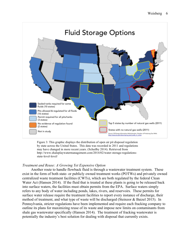

Figure 3: This graphic displays the distribution of open air pit disposal regulation by state across the United States. This data was recorded in 2011 and regulations may have changed in more recent years. (Schailby 2014). Retrieved from http://www.shaleplaywatermanagement.com/2014/02/water-storage-regulationsstate-level-level/

#### *Treatment and Reuse: A Growing Yet Expensive Option*

Another route to handle flowback fluid is through a wastewater treatment system. These exist in the form of both state- or publicly owned treatment works (POTWs) and privately owned centralized waste treatment facilities (CWTs), which are both regulated by the federal Clean Water Act (Hansen 2014). If the fluid that is treated at these plants is going to be released back into surface waters, the facilities must obtain permits from the EPA. Surface waters simply refers to any body of water including ponds, lakes, rivers, and reservoirs. These permits for surface water release require the treatment facilities to report every instance of discharge, their method of treatment, and what type of waste will be discharged (Steinzor & Baizel 2015). In Pennsylvania, stricter regulations have been implemented and require each fracking company to outline its plans for maximizing reuse of its waste and impose new limits on contaminants from shale gas wastewater specifically (Hansen 2014). The treatment of fracking wastewater is potentially the industry's best solution for dealing with disposal that currently exists.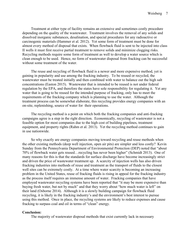Treatment at either type of facility remains an extensive and sometimes costly procedure depending on the quality of the wastewater. Treatment involves the removal of any solids and dissolved inorganic substances, desalination, and special procedures for any radioactive or carcinogenic materials (Hammer et al. 2012). Yet some form of treatment must be done for almost every method of disposal that exists. When flowback fluid is sent to be injected into class II wells it must first receive partial treatment to remove solids and minimize clogging risks. Recycling methods require some form of treatment as well to develop a water source which is clean enough to be used. Hence, no form of wastewater disposal from fracking can be successful without some treatment of the water.

The reuse and recycling of flowback fluid is a newer and more expensive method, yet is gaining in popularity and use among the fracking industry. To be reused or recycled, the wastewater must be treated initially and then combined with water to balance out the high salt concentrations (Easton 2015). Wastewater that is intended to be reused is not under federal regulation by the EPA, and therefore the states have sole responsibility for regulating it. Yet any water that is going to be reused for the intended purpose of fracking, only has to meet the requirements of the fracking company which is planning to use the water. Although the treatment process can be somewhat elaborate, this recycling provides energy companies with an on-site, replenishing, source of water for their operations.

The recycling method is a point on which both the fracking companies and anti-fracking campaigns agree is a step in the right direction. Economically, recycling of wastewater is not a feasible option for most companies due to the high cost of building pipelines, treatment equipment, and property rights (Rahm et al. 2013). Yet the recycling method continues to gain in use nationwide.

So why exactly are energy companies moving toward recycling and reuse methods when the other existing methods (deep well injection, open air pits) are simpler and less costly? Kevin Sunday from the Pennsylvania Department of Environmental Protection (DEP) noted that "about 70% of flowback water gets reused…recycling has never been higher" (Schmidt 2013). One of many reasons for this is that the standards for surface discharge have become increasingly strict and driven the price of wastewater treatment up. A scarcity of injection wells has also driven fracking industries into methods of reuse and treatment as the transport of fluids to the closest well sites can be extremely costly. At a time where water scarcity is becoming an increasing problem in the United States, reuse of fracking fluids is rising in appeal for the fracking industry as the process itself requires an immense amount of water. Fracking companies that have employed wastewater recycling systems have been reported that "it may be more expensive than buying fresh water, but not by much" and that they worry about "how much water is left" on their land (Osborne 2014). Although it is a slowly building campaign for flowback fluid recycling, it is likely in the fracking industry's and the environment's best interest to pursue using this method. Once in place, the recycling systems are likely to reduce expenses and cause fracking to surpass coal and oil in terms of "clean" energy.

#### **Conclusion:**

The majority of wastewater disposal methods that exist currently lack in necessary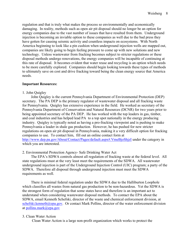regulation and that is truly what makes the process so environmentally and economically damaging. In reality, methods such as open air pit disposal should no longer be an option for energy companies due to the vast number of issues that have resulted from them. Underground injection is becoming an inviable option to these companies as well due to the bad press they have gotten for causing seismic activity and countless impacts on ecosystems. With North America beginning to look like a pin cushion when underground injection wells are mapped out, companies are likely going to begin feeling pressure to come up with new solutions and new technology. Unless wastewater from fracking becomes subject to stricter regulations or these disposal methods undergo renovations, the energy companies will be incapable of continuing at this rate of disposal. It becomes evident that water reuse and recycling is an option which needs to be more carefully explored. Companies should begin looking towards these types of methods to ultimately save on cost and drive fracking toward being the clean energy source that America needs.

#### **Important Resources:**

#### 1. John Quigley

John Quigley is the current Pennsylvania Department of Environmental Protection (DEP) secretary. The PA DEP is the primary regulator of wastewater disposal and all fracking waste for Pennsylvania. Quigley has extensive experience in the field. He worked as secretary of the Pennsylvania Department of Conservation and Natural Resources (DCNR) for two years prior to being appointed secretary of the PA DEP. He has worked with the top leaders in gas, timber, and coal industries and has helped lead PA to a top spot nationally in the energy producing industry. Quigley is typically noted as having a pro-fracking viewpoint and is pushing to make Pennsylvania a leader in shale gas production. However, he has pushed for new stricter regulations on open air pit disposal in Pennsylvania, making it a very difficult option for fracking companies to use. To contact him, fill out an online contact form at http://www.dep.pa.gov/About/Contact/Pages/default.aspx#.VmeBjoShjzI under the category in which you are interested.

#### 2. Environmental Protection Agency- Safe Drinking Water Act

The EPA's SDWA controls almost all regulation of fracking waste at the federal level. All state regulations must at the very least meet the requirements of the SDWA. All wastewater underground injection is part of the Underground Injection Control (UIC) program; a party of the SDWA. Therefore all disposal through underground injection must meet the SDWA requirements as well.

There is minimal federal regulation under the SDWA due to the Halliburton Loophole which classifies all wastes from natural gas production to be non-hazardous. Yet the SDWA is the strongest form of regulation that some states have and therefore is an important act to understand when considering wastewater disposal methods. To contact the EPA about the SDWA, email Kenneth Schefski, director of the waste and chemical enforcement division, at schefski.kenneth@epa.gov. Or contact Mark Pollins, director of the water enforcement division at pollins.mark@epa.gov

#### 3. Clean Water Action

Clean Water Action is a large non-profit organization which works to protect the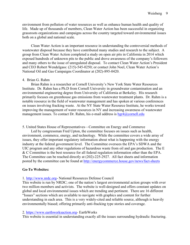environment from pollution of water resources as well as enhance human health and quality of life. Made up of thousands of members, Clean Water Action has been successful in organizing grassroots organizations and campaigns across the country targeted toward environmental issues both on a global and national scale.

Clean Water Action is an important resource in understanding the controversial methods of wastewater disposal because they have contributed many studies and research to the subject. A group from Clean Water Action completed a study on open air pits in California in 2014 which exposed hundreds of unknown pits to the public and drove awareness of the company's followers and many others to the issue of unregulated disposal. To contact Clean Water Action's President and CEO Robert Wendelgass: (215)-545-0250; or contact John Noel, Clean Water Action's National Oil and Gas Campaigns Coordinator at (202)-895-0420.

#### 4. Brian G. Rahm

Brian Rahm is a researcher at Cornell University's New York State Water Resources Institute. Dr. Rahm has a Ph.D from Cornell University in groundwater contamination and an environmental engineering degree from University of California at Berkeley. His research primarily focuses on greenhouse gas emissions from wastewater treatment plants. Dr. Rahm is a notable resource in the field of wastewater management and has spoken at various conferences on issues involving fracking waste. At the NY State Water Resource Institute, he works toward improving the management of water resources in NY and increasing awareness of wastewater management issues. To contact Dr. Rahm, his e-mail address is bgr4@cornell.edu

5. United States House of Representatives—Committee on Energy and Commerce

Led by congressman Fred Upton, the committee focuses on issues such as health, environment, commerce, energy, and technology. While the committee covers a wide array of issues, they offer important regulatory information about what is happening with the energy industry at the federal government level. The Committee oversees the EPA's SDWA and the UIC program and any other regulations of hazardous waste from oil and gas production. The E & C Committee is the best resource for all federal regulation information other than the EPA. The Committee can be reached directly at (202)-225-2927. All fact sheets and information posted by the committee can be found at http://energycommerce.house.gov/news/fact-sheets

#### **Go-To Websites:**

1. http://www.nrdc.org- National Resources Defense Council

This website is run by NRDC; one of the nation's largest environmental action groups with over two million members and activists. The website is well-designed and offers constant updates on global and local environmental issues which are trending and pertinent. There are 16 different "Issues" sections which are available to navigate with graphics and content for further understanding in each area. This is a very widely-cited and reliable source, although is heavily environmentally biased; offering primarily anti-fracking type stories and coverage.

#### 2. https://www.earthworksaction.org- EarthWorks

This website is essential in understanding exactly all the issues surrounding hydraulic fracturing.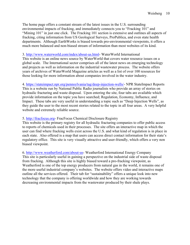The home page offers a constant stream of the latest issues in the U.S. surrounding environmental impacts of fracking, and immediately connects you to "Fracking 101" and "Mining 101" in just one click. The Fracking 101 section is extensive and outlines all aspects of fracking, citing information from US Geological Surveys, ProPublica, and even state health departments. Although EarthWorks is biased towards pro-environmental viewpoints, it offers a much more balanced and non-biased stream of information than most websites of its kind.

#### 3. http://www.waterworld.com/index/about-us.html- WaterWorld International

This website is an online news source by WaterWorld that covers water resource issues on a global scale. The International sector comprises all of the latest news on emerging technology and projects as well as information on the industrial wastewater process. The website offers years of archives of WaterWorld Magazine articles as well as a list of over 100 resources for those looking for more information about companies involved in the water industry.

4. https://stateimpact.npr.org/pennsylvania/tag/deep-injection-wells/- NPR StateImpact Reports This is a website run by National Public Radio journalists who provide an array of stories on hydraulic fracturing and waste disposal. Upon entering the site, four tabs are available which provide information on the topic you have searched; Regulation, Economy, Influence, and Impact. These tabs are very useful in understanding a topic such as "Deep Injection Wells", as they guide the user to the most recent stories related to the topic in all four areas. A very helpful website and extremely reliable source.

#### 5. http://fracfocus.org- FracFocus Chemical Disclosure Registry

This website is the primary registry for all hydraulic fracturing companies to offer public access to reports of chemicals used in their processes. The site offers an interactive map in which the user can find where fracking wells exist across the U.S. and what kind of regulation is in place in each state. Also offered is a map that users can access direct contact information for their state's regulatory office. This site is very visually attractive and user-friendly, which offers a very non biased viewpoint.

6. http://www.weatherford.com/about-us- Weatherford International Energy Company This site is particularly useful in gaining a perspective on the industrial side of waste disposal from fracking. Although this site is highly biased toward a pro-fracking viewpoint, as Weatherford is one of the top energy producers from natural gas in the world, it remains one of the more useful industrial company's websites. The website offers video and interactive maps outline all the services offered. Their tab for "sustainability" offers a unique look into new technology that the company is offering worldwide and how they are working towards decreasing environmental impacts from the wastewater produced by their shale plays.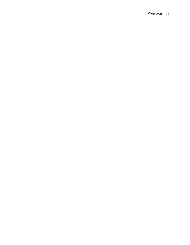### Weisberg 11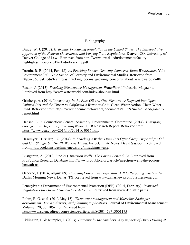#### Bibliography

Brady, W. J. (2012). *Hydraulic Fracturing Regulation in the United States: The Laissez-Faire Approach of the Federal Government and Varying State Regulations.* Denver, CO. University of Denver College of Law. Retrieved from http://www.law.du.edu/documents/facultyhighlights/Intersol-2012-HydroFracking.pdf

Drouin, R. R. (2014, Feb. 18). *As Fracking Booms, Growing Concerns About Wastewater.* Yale Environment 360. Yale School of Forestry and Environmental Studies. Retrieved from http://e360.yale.edu/feature/as\_fracking\_booms\_growing\_concerns\_about\_wastewater/2740/

Easton, J. (2015). *Fracking Wastewater Management.* WaterWorld Industrial Magazine. Retrieved from http://www.waterworld.com/index/about-us.html.

Grinberg, A. (2014, November). *In the Pits: Oil and Gas Wastewater Disposal into Open Unlined Pits and the Threat to California's Water and Air.* Clean Water Action. Clean Water Fund. Retrieved from https://www.documentcloud.org/documents/1362974-ca-oil-and-gas-pitreport.html

Hansen, L. R. Connecticut General Assembly. Environmental Committee. (2014). *Transport, Storage, and Disposal of Fracking Waste.* OLR Research Report. Retrieved from https://www.cga.ct.gov/2014/rpt/2014-R-0016.htm.

Hasemyer, D. & Hirji, Z. (2014). *In Fracking's Wake: Open Pits Offer Cheap Disposal for Oil and Gas Sludge, but Health Worries Mount.* InsideClimate News. David Sassoon. Retrieved from http://books.insideclimatenews.org/infrackingswake.

Lustgarten, A. (2012, June 21). *Injection Wells: The Poison Beneath Us.* Retrieved from ProPublica Research Database http://www.propublica.org/article/injection-wells-the-poisonbeneath-us.

Osborne, J. (2014, August 09). *Fracking Companies begin slow shift to Recycling Wastewater.* Dallas Morning News. Dallas, TX. Retrieved from www.dallasnews.com/business/energy/.

Pennsylvania Department of Environmental Protection (DEP). (2014, February). *Proposed Regulations for Oil and Gas Surface Activities.* Retrieved from www.dep.state.pa.us

Rahm, B. G. et al. (2013 May 15). *Wastewater management and Marcellus Shale gas development: Trends, drivers, and planning implications.* Journal of Environmental Management. Volume 120, pg. 105-113. Retrieved from http://www.sciencedirect.com/science/article/pii/S0301479713001175

Ridlington, E. & Rumpler, J. (2013). *Fracking by the Numbers: Key impacts of Dirty Drilling at*